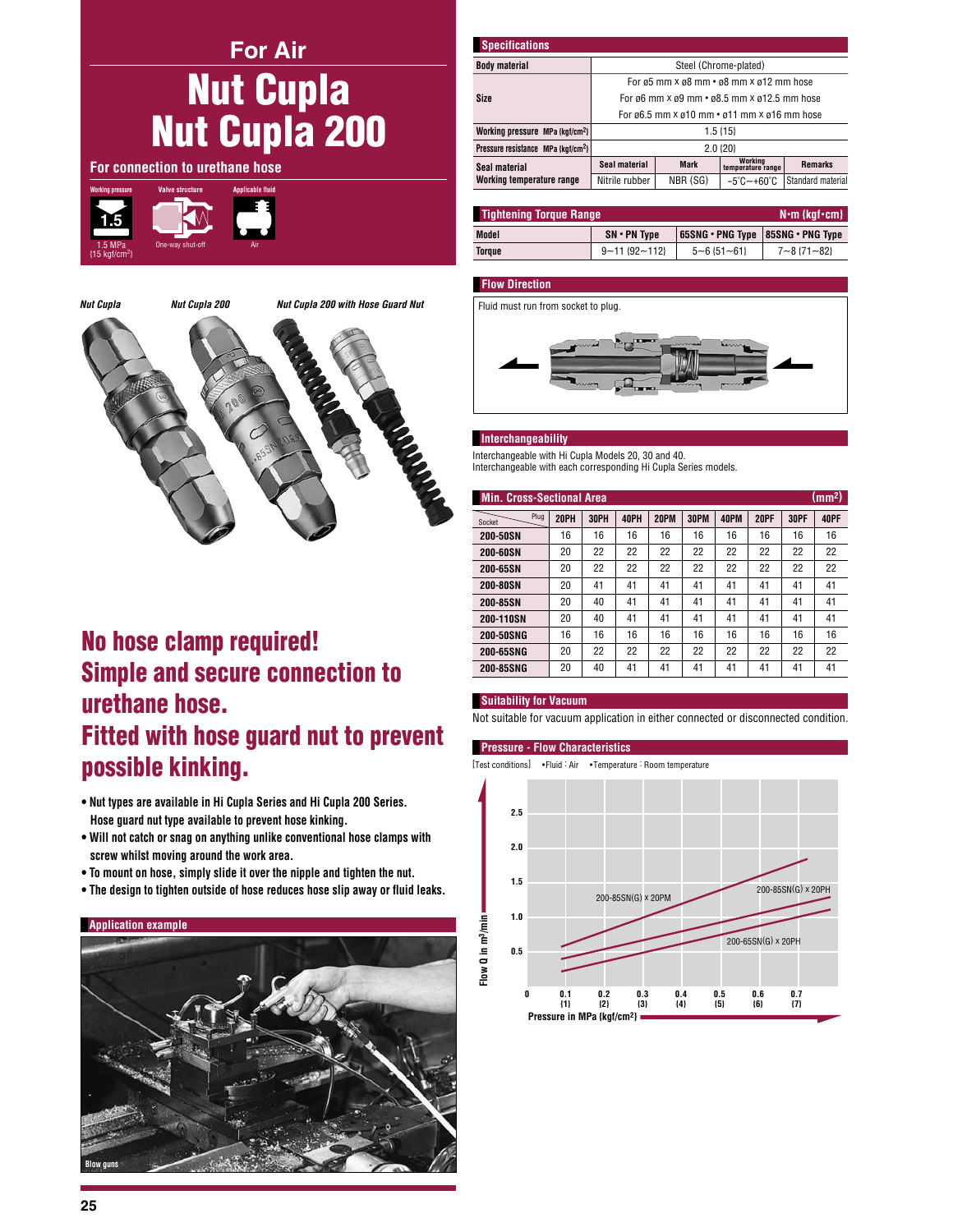# **For Air Nut Cupla Nut Cupla 200**





## No hose clamp required! **Simple and secure connection to** urethane hose. Fitted with hose guard nut to prevent possible kinking.

- . Nut types are available in Hi Cupla Series and Hi Cupla 200 Series. Hose guard nut type available to prevent hose kinking.
- . Will not catch or snag on anything unlike conventional hose clamps with screw whilst moving around the work area.
- . To mount on hose, simply slide it over the nipple and tighten the nut.
- . The design to tighten outside of hose reduces hose slip away or fluid leaks.

# **Application example**

| <b>Specifications</b>                         |                                                                                                 |             |                                 |                   |  |  |  |
|-----------------------------------------------|-------------------------------------------------------------------------------------------------|-------------|---------------------------------|-------------------|--|--|--|
| <b>Body material</b>                          | Steel (Chrome-plated)                                                                           |             |                                 |                   |  |  |  |
|                                               | For ø5 mm x ø8 mm · ø8 mm x ø12 mm hose                                                         |             |                                 |                   |  |  |  |
| Size                                          | For ø6 mm × ø9 mm • ø8.5 mm × ø12.5 mm hose                                                     |             |                                 |                   |  |  |  |
|                                               | For $\sigma$ 6.5 mm $\times$ $\sigma$ 10 mm $\cdot$ $\sigma$ 11 mm $\times$ $\sigma$ 16 mm hose |             |                                 |                   |  |  |  |
| Working pressure MPa {kgf/cm <sup>2</sup> }   | $1.5 \{15\}$                                                                                    |             |                                 |                   |  |  |  |
| Pressure resistance MPa {kaf/cm <sup>2}</sup> | $2.0$ $\{20\}$                                                                                  |             |                                 |                   |  |  |  |
| Seal material                                 | Seal material                                                                                   | <b>Mark</b> | Working<br>temperature range    | <b>Remarks</b>    |  |  |  |
| Working temperature range                     | Nitrile rubber                                                                                  | NBR (SG)    | $-5^{\circ}$ C $-+60^{\circ}$ C | Standard material |  |  |  |

| <b>Tightening Torque Range</b><br>$N$ om {kgf $\cdot$ cm} |                         |                                     |                       |  |  |
|-----------------------------------------------------------|-------------------------|-------------------------------------|-----------------------|--|--|
| Model                                                     | $SN \cdot PN$ Type      | 65SNG • PNG Type   85SNG • PNG Type |                       |  |  |
| <b>Torque</b>                                             | $9 - 11$ { $92 - 112$ } | $5 - 6$ {51 $-61$ }                 | $7 - 8$ { $71 - 82$ } |  |  |

### **Flow Direction**

Fluid must run from socket to plug.



### **Interchangeability**

Interchangeable with Hi Cupla Models 20, 30 and 40. Interchangeable with each corresponding Hi Cupla Series models.

| (mm <sup>2</sup> )<br><b>Min. Cross-Sectional Area</b> |             |      |      |             |      |      |             |      |      |
|--------------------------------------------------------|-------------|------|------|-------------|------|------|-------------|------|------|
| Plug<br>Socket                                         | <b>20PH</b> | 30PH | 40PH | <b>20PM</b> | 30PM | 40PM | <b>20PF</b> | 30PF | 40PF |
| 200-50SN                                               | 16          | 16   | 16   | 16          | 16   | 16   | 16          | 16   | 16   |
| 200-60SN                                               | 20          | 22   | 22   | 22          | 22   | 22   | 22          | 22   | 22   |
| 200-65SN                                               | 20          | 22   | 22   | 22          | 22   | 22   | 22          | 22   | 22   |
| 200-80SN                                               | 20          | 41   | 41   | 41          | 41   | 41   | 41          | 41   | 41   |
| 200-85SN                                               | 20          | 40   | 41   | 41          | 41   | 41   | 41          | 41   | 41   |
| 200-110SN                                              | 20          | 40   | 41   | 41          | 41   | 41   | 41          | 41   | 41   |
| <b>200-50SNG</b>                                       | 16          | 16   | 16   | 16          | 16   | 16   | 16          | 16   | 16   |
| 200-65SNG                                              | 20          | 22   | 22   | 22          | 22   | 22   | 22          | 22   | 22   |
| 200-85SNG                                              | 20          | 40   | 41   | 41          | 41   | 41   | 41          | 41   | 41   |

### **Suitability for Vacuum**

Not suitable for vacuum application in either connected or disconnected condition.

### **Pressure - Flow Characteristics**

[Test conditions] • Fluid : Air • Temperature : Room temperature